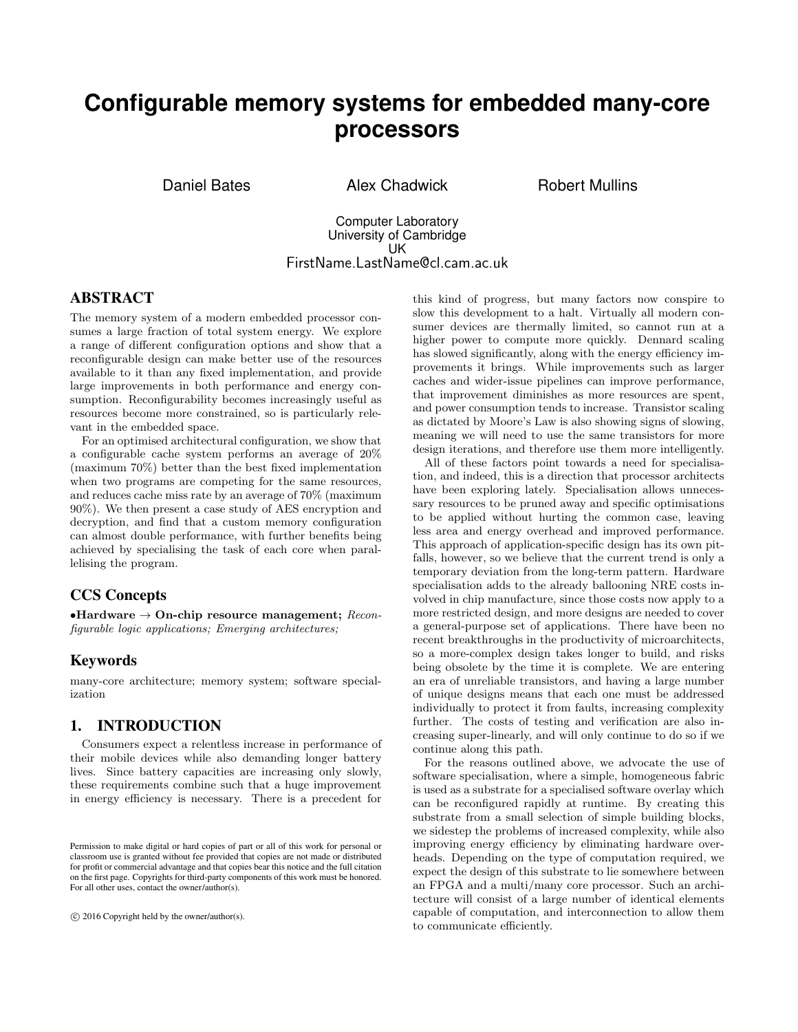# **Configurable memory systems for embedded many-core processors**

Daniel Bates Alex Chadwick Robert Mullins

Computer Laboratory University of Cambridge UK FirstName.LastName@cl.cam.ac.uk

# ABSTRACT

The memory system of a modern embedded processor consumes a large fraction of total system energy. We explore a range of different configuration options and show that a reconfigurable design can make better use of the resources available to it than any fixed implementation, and provide large improvements in both performance and energy consumption. Reconfigurability becomes increasingly useful as resources become more constrained, so is particularly relevant in the embedded space.

For an optimised architectural configuration, we show that a configurable cache system performs an average of 20% (maximum 70%) better than the best fixed implementation when two programs are competing for the same resources, and reduces cache miss rate by an average of 70% (maximum 90%). We then present a case study of AES encryption and decryption, and find that a custom memory configuration can almost double performance, with further benefits being achieved by specialising the task of each core when parallelising the program.

# CCS Concepts

•Hardware  $\rightarrow$  On-chip resource management; Reconfigurable logic applications; Emerging architectures;

#### Keywords

many-core architecture; memory system; software specialization

#### 1. INTRODUCTION

Consumers expect a relentless increase in performance of their mobile devices while also demanding longer battery lives. Since battery capacities are increasing only slowly, these requirements combine such that a huge improvement in energy efficiency is necessary. There is a precedent for

c 2016 Copyright held by the owner/author(s).

this kind of progress, but many factors now conspire to slow this development to a halt. Virtually all modern consumer devices are thermally limited, so cannot run at a higher power to compute more quickly. Dennard scaling has slowed significantly, along with the energy efficiency improvements it brings. While improvements such as larger caches and wider-issue pipelines can improve performance, that improvement diminishes as more resources are spent, and power consumption tends to increase. Transistor scaling as dictated by Moore's Law is also showing signs of slowing, meaning we will need to use the same transistors for more design iterations, and therefore use them more intelligently.

All of these factors point towards a need for specialisation, and indeed, this is a direction that processor architects have been exploring lately. Specialisation allows unnecessary resources to be pruned away and specific optimisations to be applied without hurting the common case, leaving less area and energy overhead and improved performance. This approach of application-specific design has its own pitfalls, however, so we believe that the current trend is only a temporary deviation from the long-term pattern. Hardware specialisation adds to the already ballooning NRE costs involved in chip manufacture, since those costs now apply to a more restricted design, and more designs are needed to cover a general-purpose set of applications. There have been no recent breakthroughs in the productivity of microarchitects, so a more-complex design takes longer to build, and risks being obsolete by the time it is complete. We are entering an era of unreliable transistors, and having a large number of unique designs means that each one must be addressed individually to protect it from faults, increasing complexity further. The costs of testing and verification are also increasing super-linearly, and will only continue to do so if we continue along this path.

For the reasons outlined above, we advocate the use of software specialisation, where a simple, homogeneous fabric is used as a substrate for a specialised software overlay which can be reconfigured rapidly at runtime. By creating this substrate from a small selection of simple building blocks, we sidestep the problems of increased complexity, while also improving energy efficiency by eliminating hardware overheads. Depending on the type of computation required, we expect the design of this substrate to lie somewhere between an FPGA and a multi/many core processor. Such an architecture will consist of a large number of identical elements capable of computation, and interconnection to allow them to communicate efficiently.

Permission to make digital or hard copies of part or all of this work for personal or classroom use is granted without fee provided that copies are not made or distributed for profit or commercial advantage and that copies bear this notice and the full citation on the first page. Copyrights for third-party components of this work must be honored. For all other uses, contact the owner/author(s).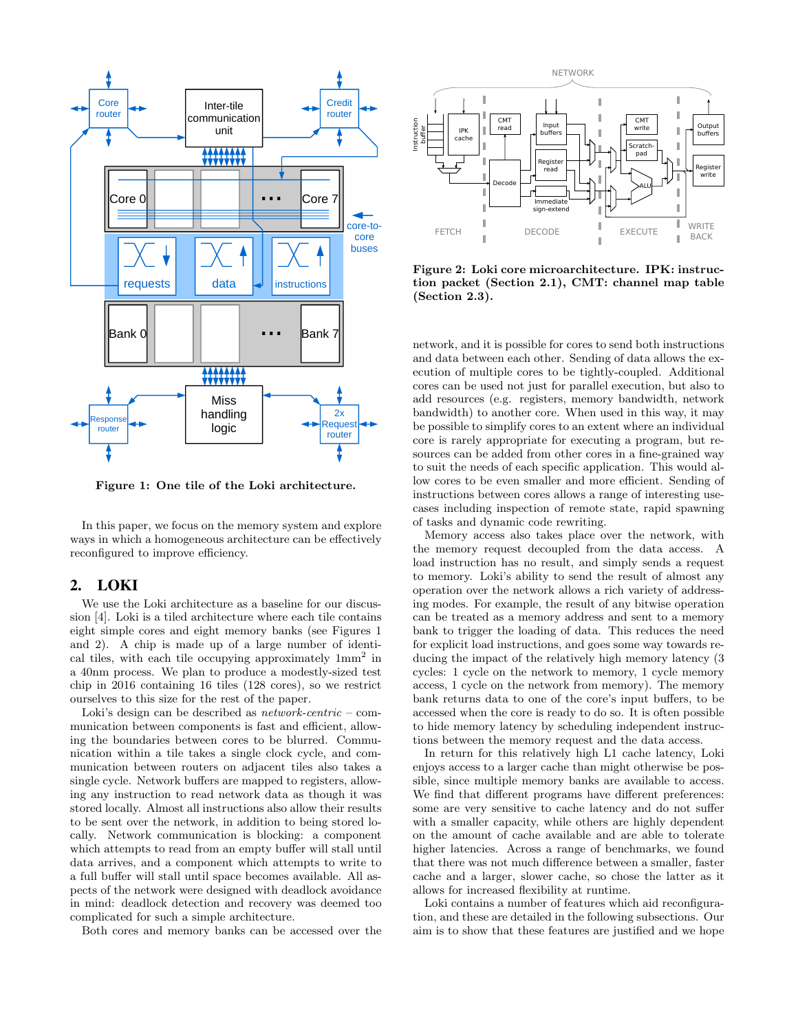

Figure 1: One tile of the Loki architecture.

In this paper, we focus on the memory system and explore ways in which a homogeneous architecture can be effectively reconfigured to improve efficiency.

#### 2. LOKI

We use the Loki architecture as a baseline for our discussion [4]. Loki is a tiled architecture where each tile contains eight simple cores and eight memory banks (see Figures 1 and 2). A chip is made up of a large number of identical tiles, with each tile occupying approximately  $1mm^2$  in a 40nm process. We plan to produce a modestly-sized test chip in 2016 containing 16 tiles (128 cores), so we restrict ourselves to this size for the rest of the paper.

Loki's design can be described as  $network\text{-}centric$  – communication between components is fast and efficient, allowing the boundaries between cores to be blurred. Communication within a tile takes a single clock cycle, and communication between routers on adjacent tiles also takes a single cycle. Network buffers are mapped to registers, allowing any instruction to read network data as though it was stored locally. Almost all instructions also allow their results to be sent over the network, in addition to being stored locally. Network communication is blocking: a component which attempts to read from an empty buffer will stall until data arrives, and a component which attempts to write to a full buffer will stall until space becomes available. All aspects of the network were designed with deadlock avoidance in mind: deadlock detection and recovery was deemed too complicated for such a simple architecture.

Both cores and memory banks can be accessed over the



Figure 2: Loki core microarchitecture. IPK: instruction packet (Section 2.1), CMT: channel map table (Section 2.3).

network, and it is possible for cores to send both instructions and data between each other. Sending of data allows the execution of multiple cores to be tightly-coupled. Additional cores can be used not just for parallel execution, but also to add resources (e.g. registers, memory bandwidth, network bandwidth) to another core. When used in this way, it may be possible to simplify cores to an extent where an individual core is rarely appropriate for executing a program, but resources can be added from other cores in a fine-grained way to suit the needs of each specific application. This would allow cores to be even smaller and more efficient. Sending of instructions between cores allows a range of interesting usecases including inspection of remote state, rapid spawning of tasks and dynamic code rewriting.

Memory access also takes place over the network, with the memory request decoupled from the data access. A load instruction has no result, and simply sends a request to memory. Loki's ability to send the result of almost any operation over the network allows a rich variety of addressing modes. For example, the result of any bitwise operation can be treated as a memory address and sent to a memory bank to trigger the loading of data. This reduces the need for explicit load instructions, and goes some way towards reducing the impact of the relatively high memory latency (3 cycles: 1 cycle on the network to memory, 1 cycle memory access, 1 cycle on the network from memory). The memory bank returns data to one of the core's input buffers, to be accessed when the core is ready to do so. It is often possible to hide memory latency by scheduling independent instructions between the memory request and the data access.

In return for this relatively high L1 cache latency, Loki enjoys access to a larger cache than might otherwise be possible, since multiple memory banks are available to access. We find that different programs have different preferences: some are very sensitive to cache latency and do not suffer with a smaller capacity, while others are highly dependent on the amount of cache available and are able to tolerate higher latencies. Across a range of benchmarks, we found that there was not much difference between a smaller, faster cache and a larger, slower cache, so chose the latter as it allows for increased flexibility at runtime.

Loki contains a number of features which aid reconfiguration, and these are detailed in the following subsections. Our aim is to show that these features are justified and we hope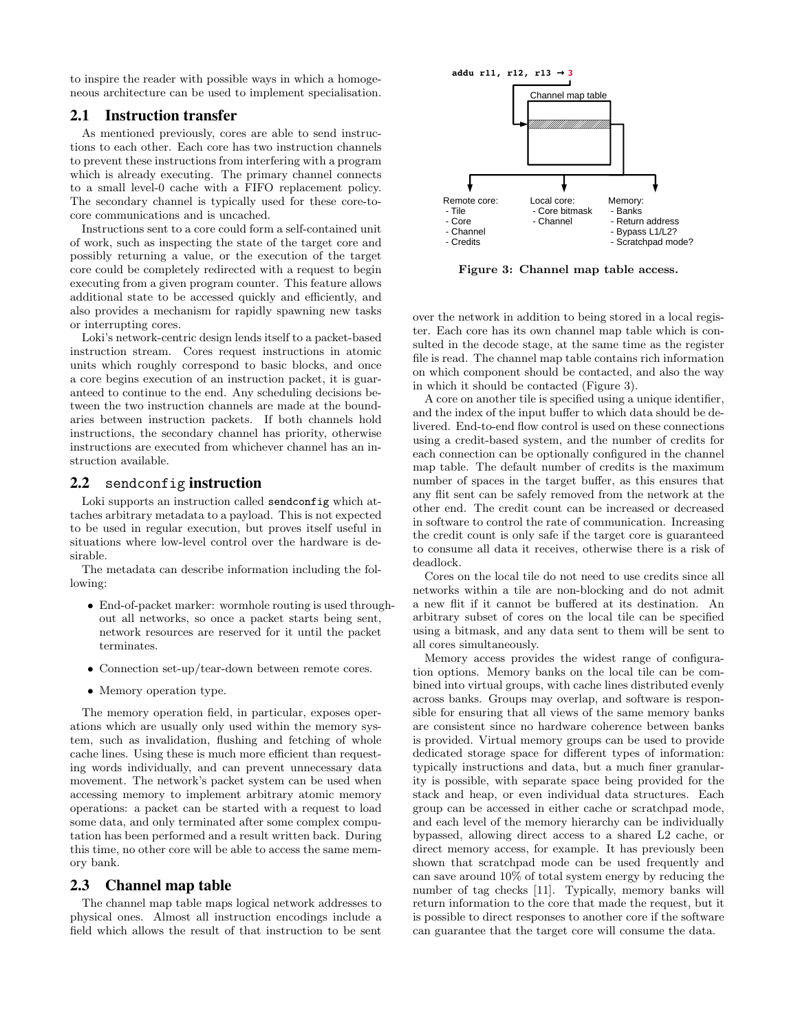to inspire the reader with possible ways in which a homogeneous architecture can be used to implement specialisation.

# 2.1 Instruction transfer

As mentioned previously, cores are able to send instructions to each other. Each core has two instruction channels to prevent these instructions from interfering with a program which is already executing. The primary channel connects to a small level-0 cache with a FIFO replacement policy. The secondary channel is typically used for these core-tocore communications and is uncached.

Instructions sent to a core could form a self-contained unit of work, such as inspecting the state of the target core and possibly returning a value, or the execution of the target core could be completely redirected with a request to begin executing from a given program counter. This feature allows additional state to be accessed quickly and efficiently, and also provides a mechanism for rapidly spawning new tasks or interrupting cores.

Loki's network-centric design lends itself to a packet-based instruction stream. Cores request instructions in atomic units which roughly correspond to basic blocks, and once a core begins execution of an instruction packet, it is guaranteed to continue to the end. Any scheduling decisions between the two instruction channels are made at the boundaries between instruction packets. If both channels hold instructions, the secondary channel has priority, otherwise instructions are executed from whichever channel has an instruction available.

#### 2.2 sendconfig instruction

Loki supports an instruction called sendconfig which attaches arbitrary metadata to a payload. This is not expected to be used in regular execution, but proves itself useful in situations where low-level control over the hardware is desirable.

The metadata can describe information including the following:

- End-of-packet marker: wormhole routing is used throughout all networks, so once a packet starts being sent, network resources are reserved for it until the packet terminates.
- Connection set-up/tear-down between remote cores.
- Memory operation type.

The memory operation field, in particular, exposes operations which are usually only used within the memory system, such as invalidation, flushing and fetching of whole cache lines. Using these is much more efficient than requesting words individually, and can prevent unnecessary data movement. The network's packet system can be used when accessing memory to implement arbitrary atomic memory operations: a packet can be started with a request to load some data, and only terminated after some complex computation has been performed and a result written back. During this time, no other core will be able to access the same memory bank.

#### 2.3 Channel map table

The channel map table maps logical network addresses to physical ones. Almost all instruction encodings include a field which allows the result of that instruction to be sent



Figure 3: Channel map table access.

over the network in addition to being stored in a local register. Each core has its own channel map table which is consulted in the decode stage, at the same time as the register file is read. The channel map table contains rich information on which component should be contacted, and also the way in which it should be contacted (Figure 3).

A core on another tile is specified using a unique identifier, and the index of the input buffer to which data should be delivered. End-to-end flow control is used on these connections using a credit-based system, and the number of credits for each connection can be optionally configured in the channel map table. The default number of credits is the maximum number of spaces in the target buffer, as this ensures that any flit sent can be safely removed from the network at the other end. The credit count can be increased or decreased in software to control the rate of communication. Increasing the credit count is only safe if the target core is guaranteed to consume all data it receives, otherwise there is a risk of deadlock.

Cores on the local tile do not need to use credits since all networks within a tile are non-blocking and do not admit a new flit if it cannot be buffered at its destination. An arbitrary subset of cores on the local tile can be specified using a bitmask, and any data sent to them will be sent to all cores simultaneously.

Memory access provides the widest range of configuration options. Memory banks on the local tile can be combined into virtual groups, with cache lines distributed evenly across banks. Groups may overlap, and software is responsible for ensuring that all views of the same memory banks are consistent since no hardware coherence between banks is provided. Virtual memory groups can be used to provide dedicated storage space for different types of information: typically instructions and data, but a much finer granularity is possible, with separate space being provided for the stack and heap, or even individual data structures. Each group can be accessed in either cache or scratchpad mode, and each level of the memory hierarchy can be individually bypassed, allowing direct access to a shared L2 cache, or direct memory access, for example. It has previously been shown that scratchpad mode can be used frequently and can save around 10% of total system energy by reducing the number of tag checks [11]. Typically, memory banks will return information to the core that made the request, but it is possible to direct responses to another core if the software can guarantee that the target core will consume the data.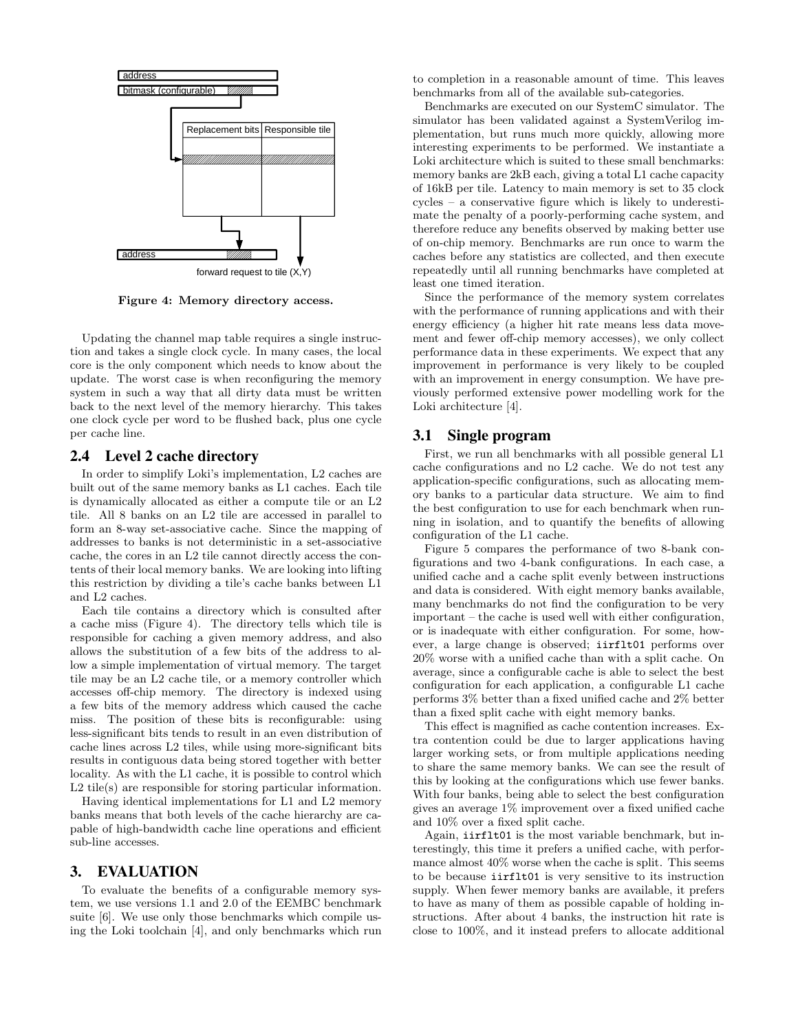

Figure 4: Memory directory access.

Updating the channel map table requires a single instruction and takes a single clock cycle. In many cases, the local core is the only component which needs to know about the update. The worst case is when reconfiguring the memory system in such a way that all dirty data must be written back to the next level of the memory hierarchy. This takes one clock cycle per word to be flushed back, plus one cycle per cache line.

#### 2.4 Level 2 cache directory

In order to simplify Loki's implementation, L2 caches are built out of the same memory banks as L1 caches. Each tile is dynamically allocated as either a compute tile or an L2 tile. All 8 banks on an L2 tile are accessed in parallel to form an 8-way set-associative cache. Since the mapping of addresses to banks is not deterministic in a set-associative cache, the cores in an L2 tile cannot directly access the contents of their local memory banks. We are looking into lifting this restriction by dividing a tile's cache banks between L1 and L2 caches.

Each tile contains a directory which is consulted after a cache miss (Figure 4). The directory tells which tile is responsible for caching a given memory address, and also allows the substitution of a few bits of the address to allow a simple implementation of virtual memory. The target tile may be an L2 cache tile, or a memory controller which accesses off-chip memory. The directory is indexed using a few bits of the memory address which caused the cache miss. The position of these bits is reconfigurable: using less-significant bits tends to result in an even distribution of cache lines across L2 tiles, while using more-significant bits results in contiguous data being stored together with better locality. As with the L1 cache, it is possible to control which L2 tile(s) are responsible for storing particular information.

Having identical implementations for L1 and L2 memory banks means that both levels of the cache hierarchy are capable of high-bandwidth cache line operations and efficient sub-line accesses.

#### 3. EVALUATION

To evaluate the benefits of a configurable memory system, we use versions 1.1 and 2.0 of the EEMBC benchmark suite [6]. We use only those benchmarks which compile using the Loki toolchain [4], and only benchmarks which run to completion in a reasonable amount of time. This leaves benchmarks from all of the available sub-categories.

Benchmarks are executed on our SystemC simulator. The simulator has been validated against a SystemVerilog implementation, but runs much more quickly, allowing more interesting experiments to be performed. We instantiate a Loki architecture which is suited to these small benchmarks: memory banks are 2kB each, giving a total L1 cache capacity of 16kB per tile. Latency to main memory is set to 35 clock cycles – a conservative figure which is likely to underestimate the penalty of a poorly-performing cache system, and therefore reduce any benefits observed by making better use of on-chip memory. Benchmarks are run once to warm the caches before any statistics are collected, and then execute repeatedly until all running benchmarks have completed at least one timed iteration.

Since the performance of the memory system correlates with the performance of running applications and with their energy efficiency (a higher hit rate means less data movement and fewer off-chip memory accesses), we only collect performance data in these experiments. We expect that any improvement in performance is very likely to be coupled with an improvement in energy consumption. We have previously performed extensive power modelling work for the Loki architecture [4].

## 3.1 Single program

First, we run all benchmarks with all possible general L1 cache configurations and no L2 cache. We do not test any application-specific configurations, such as allocating memory banks to a particular data structure. We aim to find the best configuration to use for each benchmark when running in isolation, and to quantify the benefits of allowing configuration of the L1 cache.

Figure 5 compares the performance of two 8-bank configurations and two 4-bank configurations. In each case, a unified cache and a cache split evenly between instructions and data is considered. With eight memory banks available, many benchmarks do not find the configuration to be very important – the cache is used well with either configuration, or is inadequate with either configuration. For some, however, a large change is observed; iirflt01 performs over 20% worse with a unified cache than with a split cache. On average, since a configurable cache is able to select the best configuration for each application, a configurable L1 cache performs 3% better than a fixed unified cache and 2% better than a fixed split cache with eight memory banks.

This effect is magnified as cache contention increases. Extra contention could be due to larger applications having larger working sets, or from multiple applications needing to share the same memory banks. We can see the result of this by looking at the configurations which use fewer banks. With four banks, being able to select the best configuration gives an average 1% improvement over a fixed unified cache and 10% over a fixed split cache.

Again, iirflt01 is the most variable benchmark, but interestingly, this time it prefers a unified cache, with performance almost 40% worse when the cache is split. This seems to be because iirflt01 is very sensitive to its instruction supply. When fewer memory banks are available, it prefers to have as many of them as possible capable of holding instructions. After about 4 banks, the instruction hit rate is close to 100%, and it instead prefers to allocate additional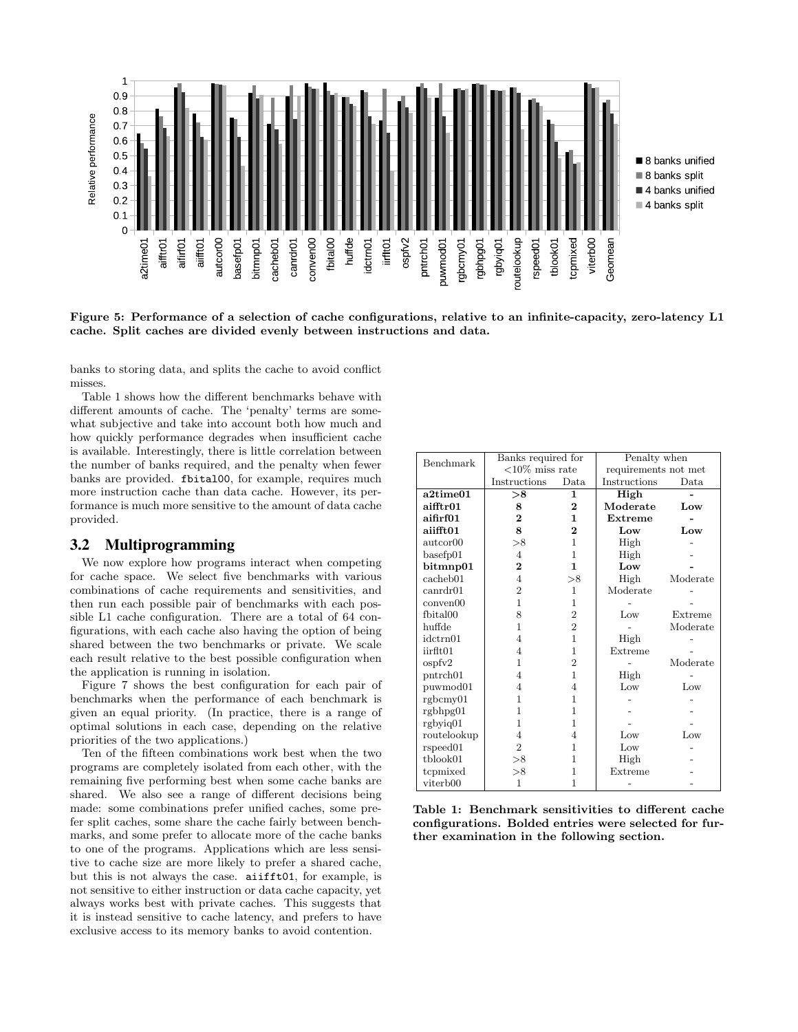

Figure 5: Performance of a selection of cache configurations, relative to an infinite-capacity, zero-latency L1 cache. Split caches are divided evenly between instructions and data.

banks to storing data, and splits the cache to avoid conflict misses.

Table 1 shows how the different benchmarks behave with different amounts of cache. The 'penalty' terms are somewhat subjective and take into account both how much and how quickly performance degrades when insufficient cache is available. Interestingly, there is little correlation between the number of banks required, and the penalty when fewer banks are provided. fbital00, for example, requires much more instruction cache than data cache. However, its performance is much more sensitive to the amount of data cache provided.

## 3.2 Multiprogramming

We now explore how programs interact when competing for cache space. We select five benchmarks with various combinations of cache requirements and sensitivities, and then run each possible pair of benchmarks with each possible L1 cache configuration. There are a total of 64 configurations, with each cache also having the option of being shared between the two benchmarks or private. We scale each result relative to the best possible configuration when the application is running in isolation.

Figure 7 shows the best configuration for each pair of benchmarks when the performance of each benchmark is given an equal priority. (In practice, there is a range of optimal solutions in each case, depending on the relative priorities of the two applications.)

Ten of the fifteen combinations work best when the two programs are completely isolated from each other, with the remaining five performing best when some cache banks are shared. We also see a range of different decisions being made: some combinations prefer unified caches, some prefer split caches, some share the cache fairly between benchmarks, and some prefer to allocate more of the cache banks to one of the programs. Applications which are less sensitive to cache size are more likely to prefer a shared cache, but this is not always the case. aiifft01, for example, is not sensitive to either instruction or data cache capacity, yet always works best with private caches. This suggests that it is instead sensitive to cache latency, and prefers to have exclusive access to its memory banks to avoid contention.

| Benchmark            | Banks required for |                | Penalty when         |                 |  |
|----------------------|--------------------|----------------|----------------------|-----------------|--|
|                      | $<10\%$ miss rate  |                | requirements not met |                 |  |
|                      | Instructions       | Data.          | Instructions         | Data.           |  |
| a2time01             | > 8                | 1              | High                 |                 |  |
| aifftr01             | 8                  | $\bf{2}$       | Moderate             | Low             |  |
| aifirf01             | $\overline{2}$     | 1.             | Extreme              |                 |  |
| aiifft01             | 8                  | $\overline{2}$ | Low                  | $_{\text{Low}}$ |  |
| autcor00             | >8                 | 1              | High                 |                 |  |
| basefp01             | $\overline{4}$     | 1              | High                 |                 |  |
| $b$ itmnp $01$       | $\overline{2}$     | 1.             | Low                  |                 |  |
| cacheb01             | $\overline{4}$     | >8             | High                 | Moderate        |  |
| canrdr01             | $\overline{2}$     | 1              | Moderate             |                 |  |
| conven00             | $\mathbf{1}$       | 1              |                      |                 |  |
| fbital00             | 8                  | $\overline{2}$ | Low                  | Extreme         |  |
| huffde               | $\mathbf{1}$       | $\overline{2}$ |                      | Moderate        |  |
| idctrn01             | 4                  | $\mathbf{1}$   | High                 |                 |  |
| iirflt01             | 4                  | 1              | Extreme              |                 |  |
| ospfv2               | 1                  | $\overline{2}$ |                      | Moderate        |  |
| pntrch01             | 4                  | $\mathbf{1}$   | High                 |                 |  |
| puwmod01             | 4                  | 4              | Low                  | Low             |  |
| rgbcmv01             | 1                  | 1              |                      |                 |  |
| rgbhpg01             | 1                  | 1              |                      |                 |  |
| $rgb$ yiq $01$       | 1                  | 1              |                      |                 |  |
| routelookup          | $\overline{4}$     | 4              | Low                  | Low             |  |
| rspeed01             | $\overline{2}$     | 1              | Low                  |                 |  |
| tblook01             | >8                 | 1              | High                 |                 |  |
| tcpmixed             | >8                 | 1              | Extreme              |                 |  |
| viterb <sub>00</sub> | 1                  | 1              |                      |                 |  |

Table 1: Benchmark sensitivities to different cache configurations. Bolded entries were selected for further examination in the following section.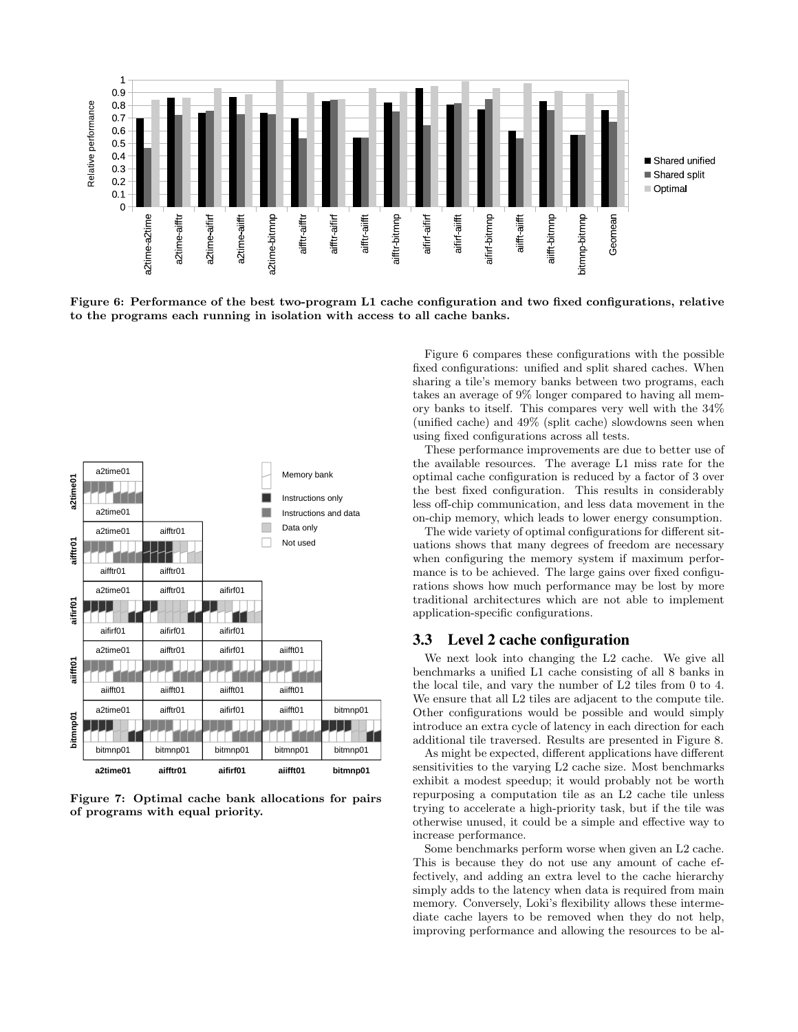

Figure 6: Performance of the best two-program L1 cache configuration and two fixed configurations, relative to the programs each running in isolation with access to all cache banks.



Figure 7: Optimal cache bank allocations for pairs of programs with equal priority.

Figure 6 compares these configurations with the possible fixed configurations: unified and split shared caches. When sharing a tile's memory banks between two programs, each takes an average of 9% longer compared to having all memory banks to itself. This compares very well with the 34% (unified cache) and 49% (split cache) slowdowns seen when using fixed configurations across all tests.

These performance improvements are due to better use of the available resources. The average L1 miss rate for the optimal cache configuration is reduced by a factor of 3 over the best fixed configuration. This results in considerably less off-chip communication, and less data movement in the on-chip memory, which leads to lower energy consumption.

The wide variety of optimal configurations for different situations shows that many degrees of freedom are necessary when configuring the memory system if maximum performance is to be achieved. The large gains over fixed configurations shows how much performance may be lost by more traditional architectures which are not able to implement application-specific configurations.

#### 3.3 Level 2 cache configuration

We next look into changing the L2 cache. We give all benchmarks a unified L1 cache consisting of all 8 banks in the local tile, and vary the number of L2 tiles from 0 to 4. We ensure that all L2 tiles are adjacent to the compute tile. Other configurations would be possible and would simply introduce an extra cycle of latency in each direction for each additional tile traversed. Results are presented in Figure 8.

As might be expected, different applications have different sensitivities to the varying L2 cache size. Most benchmarks exhibit a modest speedup; it would probably not be worth repurposing a computation tile as an L2 cache tile unless trying to accelerate a high-priority task, but if the tile was otherwise unused, it could be a simple and effective way to increase performance.

Some benchmarks perform worse when given an L2 cache. This is because they do not use any amount of cache effectively, and adding an extra level to the cache hierarchy simply adds to the latency when data is required from main memory. Conversely, Loki's flexibility allows these intermediate cache layers to be removed when they do not help, improving performance and allowing the resources to be al-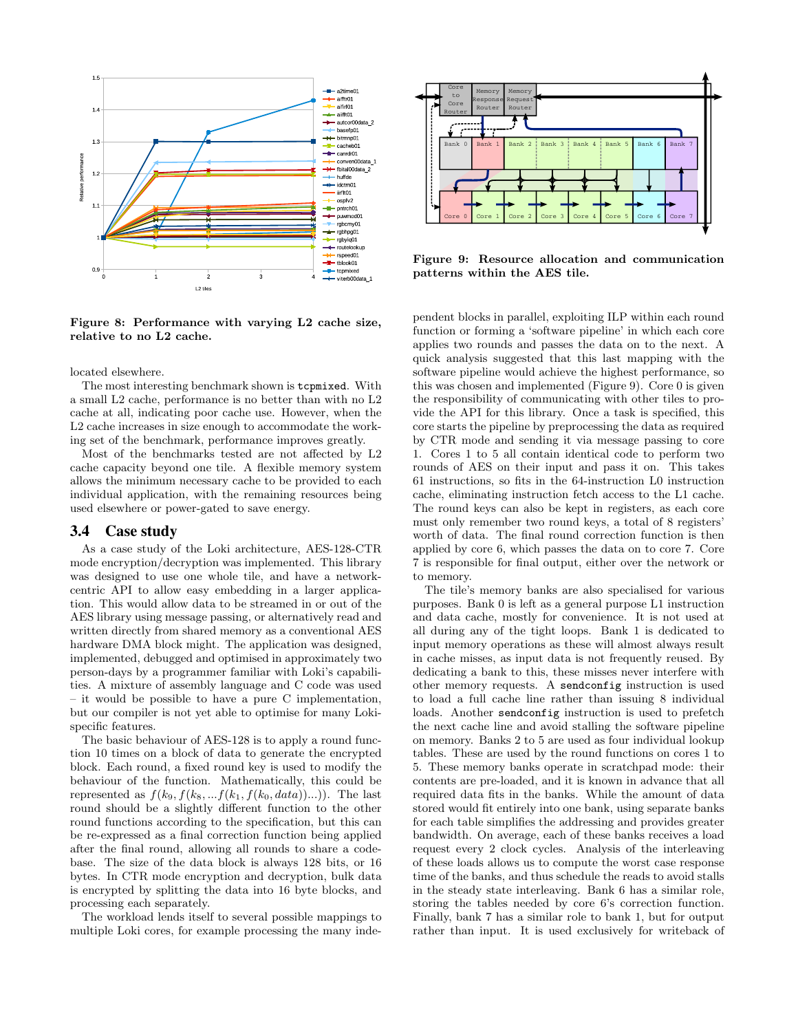

Figure 8: Performance with varying L2 cache size, relative to no L2 cache.

located elsewhere.

The most interesting benchmark shown is tcpmixed. With a small L2 cache, performance is no better than with no L2 cache at all, indicating poor cache use. However, when the L2 cache increases in size enough to accommodate the working set of the benchmark, performance improves greatly.

Most of the benchmarks tested are not affected by L2 cache capacity beyond one tile. A flexible memory system allows the minimum necessary cache to be provided to each individual application, with the remaining resources being used elsewhere or power-gated to save energy.

#### 3.4 Case study

As a case study of the Loki architecture, AES-128-CTR mode encryption/decryption was implemented. This library was designed to use one whole tile, and have a networkcentric API to allow easy embedding in a larger application. This would allow data to be streamed in or out of the AES library using message passing, or alternatively read and written directly from shared memory as a conventional AES hardware DMA block might. The application was designed, implemented, debugged and optimised in approximately two person-days by a programmer familiar with Loki's capabilities. A mixture of assembly language and C code was used – it would be possible to have a pure C implementation, but our compiler is not yet able to optimise for many Lokispecific features.

The basic behaviour of AES-128 is to apply a round function 10 times on a block of data to generate the encrypted block. Each round, a fixed round key is used to modify the behaviour of the function. Mathematically, this could be represented as  $f(k_9, f(k_8, \ldots f(k_1, f(k_0, data))\ldots))$ . The last round should be a slightly different function to the other round functions according to the specification, but this can be re-expressed as a final correction function being applied after the final round, allowing all rounds to share a codebase. The size of the data block is always 128 bits, or 16 bytes. In CTR mode encryption and decryption, bulk data is encrypted by splitting the data into 16 byte blocks, and processing each separately.

The workload lends itself to several possible mappings to multiple Loki cores, for example processing the many inde-



Figure 9: Resource allocation and communication patterns within the AES tile.

pendent blocks in parallel, exploiting ILP within each round function or forming a 'software pipeline' in which each core applies two rounds and passes the data on to the next. A quick analysis suggested that this last mapping with the software pipeline would achieve the highest performance, so this was chosen and implemented (Figure 9). Core 0 is given the responsibility of communicating with other tiles to provide the API for this library. Once a task is specified, this core starts the pipeline by preprocessing the data as required by CTR mode and sending it via message passing to core 1. Cores 1 to 5 all contain identical code to perform two rounds of AES on their input and pass it on. This takes 61 instructions, so fits in the 64-instruction L0 instruction cache, eliminating instruction fetch access to the L1 cache. The round keys can also be kept in registers, as each core must only remember two round keys, a total of 8 registers' worth of data. The final round correction function is then applied by core 6, which passes the data on to core 7. Core 7 is responsible for final output, either over the network or to memory.

The tile's memory banks are also specialised for various purposes. Bank 0 is left as a general purpose L1 instruction and data cache, mostly for convenience. It is not used at all during any of the tight loops. Bank 1 is dedicated to input memory operations as these will almost always result in cache misses, as input data is not frequently reused. By dedicating a bank to this, these misses never interfere with other memory requests. A sendconfig instruction is used to load a full cache line rather than issuing 8 individual loads. Another sendconfig instruction is used to prefetch the next cache line and avoid stalling the software pipeline on memory. Banks 2 to 5 are used as four individual lookup tables. These are used by the round functions on cores 1 to 5. These memory banks operate in scratchpad mode: their contents are pre-loaded, and it is known in advance that all required data fits in the banks. While the amount of data stored would fit entirely into one bank, using separate banks for each table simplifies the addressing and provides greater bandwidth. On average, each of these banks receives a load request every 2 clock cycles. Analysis of the interleaving of these loads allows us to compute the worst case response time of the banks, and thus schedule the reads to avoid stalls in the steady state interleaving. Bank 6 has a similar role, storing the tables needed by core 6's correction function. Finally, bank 7 has a similar role to bank 1, but for output rather than input. It is used exclusively for writeback of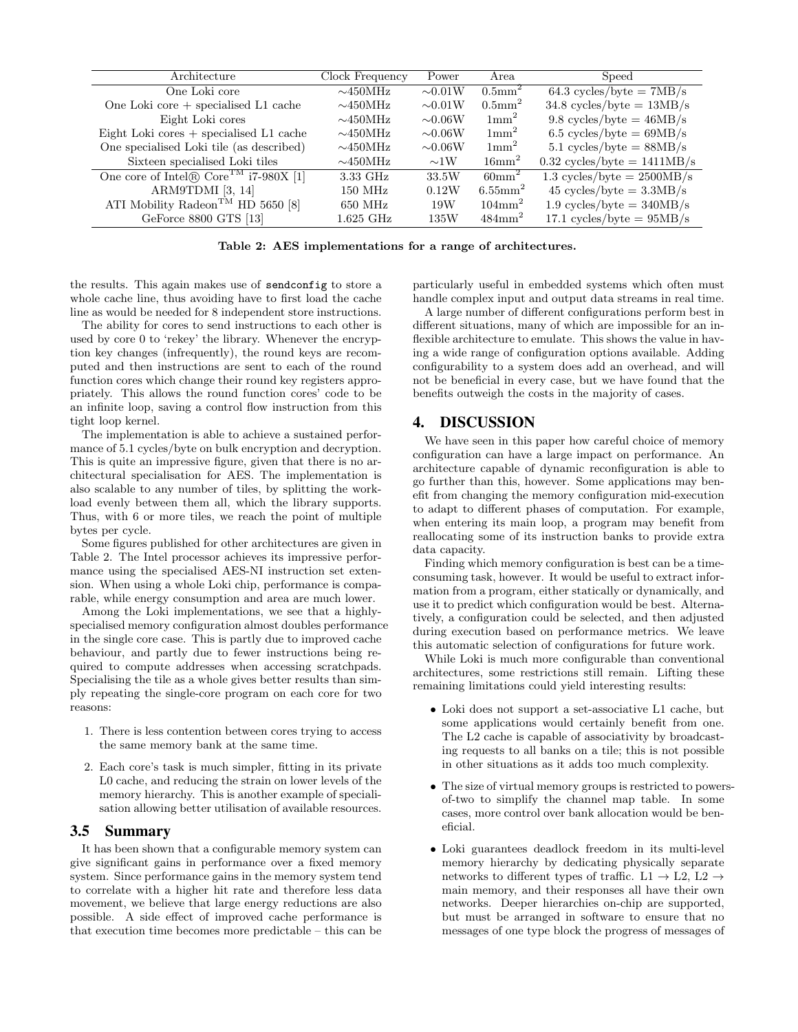| Architecture                                      | Clock Frequency | Power        | Area                   | Speed                                       |
|---------------------------------------------------|-----------------|--------------|------------------------|---------------------------------------------|
| One Loki core                                     | $\sim$ 450MHz   | $\sim 0.01W$ | $0.5$ mm <sup>2</sup>  | $64.3 \text{ cycles/byte} = 7MB/s$          |
| One Loki core $+$ specialised L1 cache            | $\sim$ 450MHz   | $\sim 0.01W$ | $0.5$ mm <sup>2</sup>  | $34.8 \text{ cycles/byte} = 13 \text{MB/s}$ |
| Eight Loki cores                                  | $\sim$ 450MHz   | $\sim 0.06W$ | $1 \text{mm}^2$        | 9.8 cycles/byte = $46MB/s$                  |
| Eight Loki cores $+$ specialised L1 cache         | $\sim$ 450MHz   | $\sim 0.06W$ | $1 \text{mm}^2$        | $6.5 \text{ cycles/byte} = 69MB/s$          |
| One specialised Loki tile (as described)          | $\sim$ 450MHz   | $\sim 0.06W$ | $1 \text{mm}^2$        | 5.1 cycles/byte = $88MB/s$                  |
| Sixteen specialised Loki tiles                    | $\sim$ 450MHz   | $\sim$ 1W    | $16$ mm <sup>2</sup>   | $0.32$ cycles/byte = 1411MB/s               |
| One core of Intel® Core <sup>TM</sup> i7-980X [1] | 3.33 GHz        | 33.5W        | $60 \text{mm}^2$       | 1.3 cycles/byte = $2500MB/s$                |
| ARM9TDMI [3, 14]                                  | $150$ MHz       | 0.12W        | $6.55$ mm <sup>2</sup> | $45 \text{ cycles/byte} = 3.3 \text{MB/s}$  |
| ATI Mobility Radeon <sup>TM</sup> HD 5650 [8]     | $650$ MHz       | 19W          | $104 \text{mm}^2$      | 1.9 cycles/byte = $340MB/s$                 |
| GeForce 8800 GTS [13]                             | $1.625$ GHz     | 135W         | $484$ mm <sup>2</sup>  | 17.1 cycles/byte = $95MB/s$                 |

Table 2: AES implementations for a range of architectures.

the results. This again makes use of sendconfig to store a whole cache line, thus avoiding have to first load the cache line as would be needed for 8 independent store instructions.

The ability for cores to send instructions to each other is used by core 0 to 'rekey' the library. Whenever the encryption key changes (infrequently), the round keys are recomputed and then instructions are sent to each of the round function cores which change their round key registers appropriately. This allows the round function cores' code to be an infinite loop, saving a control flow instruction from this tight loop kernel.

The implementation is able to achieve a sustained performance of 5.1 cycles/byte on bulk encryption and decryption. This is quite an impressive figure, given that there is no architectural specialisation for AES. The implementation is also scalable to any number of tiles, by splitting the workload evenly between them all, which the library supports. Thus, with 6 or more tiles, we reach the point of multiple bytes per cycle.

Some figures published for other architectures are given in Table 2. The Intel processor achieves its impressive performance using the specialised AES-NI instruction set extension. When using a whole Loki chip, performance is comparable, while energy consumption and area are much lower.

Among the Loki implementations, we see that a highlyspecialised memory configuration almost doubles performance in the single core case. This is partly due to improved cache behaviour, and partly due to fewer instructions being required to compute addresses when accessing scratchpads. Specialising the tile as a whole gives better results than simply repeating the single-core program on each core for two reasons:

- 1. There is less contention between cores trying to access the same memory bank at the same time.
- 2. Each core's task is much simpler, fitting in its private L0 cache, and reducing the strain on lower levels of the memory hierarchy. This is another example of specialisation allowing better utilisation of available resources.

# 3.5 Summary

It has been shown that a configurable memory system can give significant gains in performance over a fixed memory system. Since performance gains in the memory system tend to correlate with a higher hit rate and therefore less data movement, we believe that large energy reductions are also possible. A side effect of improved cache performance is that execution time becomes more predictable – this can be

particularly useful in embedded systems which often must handle complex input and output data streams in real time.

A large number of different configurations perform best in different situations, many of which are impossible for an inflexible architecture to emulate. This shows the value in having a wide range of configuration options available. Adding configurability to a system does add an overhead, and will not be beneficial in every case, but we have found that the benefits outweigh the costs in the majority of cases.

# 4. DISCUSSION

We have seen in this paper how careful choice of memory configuration can have a large impact on performance. An architecture capable of dynamic reconfiguration is able to go further than this, however. Some applications may benefit from changing the memory configuration mid-execution to adapt to different phases of computation. For example, when entering its main loop, a program may benefit from reallocating some of its instruction banks to provide extra data capacity.

Finding which memory configuration is best can be a timeconsuming task, however. It would be useful to extract information from a program, either statically or dynamically, and use it to predict which configuration would be best. Alternatively, a configuration could be selected, and then adjusted during execution based on performance metrics. We leave this automatic selection of configurations for future work.

While Loki is much more configurable than conventional architectures, some restrictions still remain. Lifting these remaining limitations could yield interesting results:

- Loki does not support a set-associative L1 cache, but some applications would certainly benefit from one. The L2 cache is capable of associativity by broadcasting requests to all banks on a tile; this is not possible in other situations as it adds too much complexity.
- The size of virtual memory groups is restricted to powersof-two to simplify the channel map table. In some cases, more control over bank allocation would be beneficial.
- Loki guarantees deadlock freedom in its multi-level memory hierarchy by dedicating physically separate networks to different types of traffic. L1  $\rightarrow$  L2, L2  $\rightarrow$ main memory, and their responses all have their own networks. Deeper hierarchies on-chip are supported, but must be arranged in software to ensure that no messages of one type block the progress of messages of